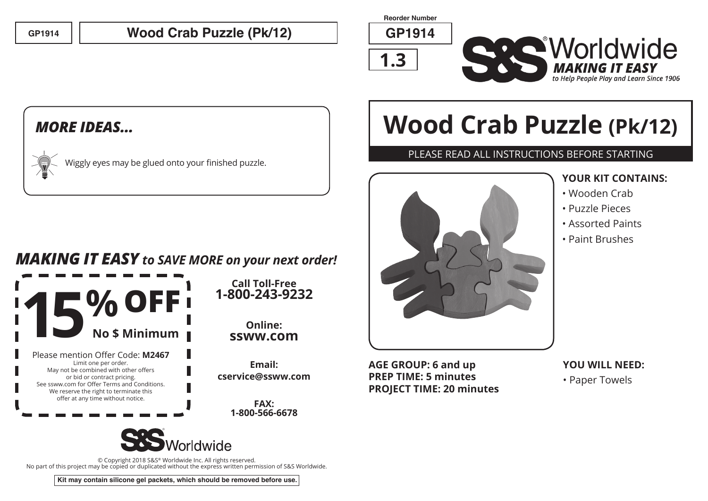## **GP1914 GP1914 Wood Crab Puzzle (Pk/12)**

**Reorder Number**

**1.3**



### *MORE IDEAS...*

|  | $\chi$ Wiggly eyes may be glued onto your finished puzzle. |
|--|------------------------------------------------------------|
|  |                                                            |

## *MAKING IT EASY to SAVE MORE on your next order!*

**Call Toll-Free**

**Online: ssww.com**

**Email:** 

**FAX: 1-800-566-6678**



© Copyright 2018 S&S® Worldwide Inc. All rights reserved. No part of this project may be copied or duplicated without the express written permission of S&S Worldwide.

**Kit may contain silicone gel packets, which should be removed before use.**

# **Wood Crab Puzzle (Pk/12)**

#### PLEASE READ ALL INSTRUCTIONS BEFORE STARTING



**AGE GROUP: 6 and up PREP TIME: 5 minutes PROJECT TIME: 20 minutes**

#### **YOUR KIT CONTAINS:**

- Wooden Crab
- Puzzle Pieces
- Assorted Paints
- Paint Brushes

**YOU WILL NEED:** • Paper Towels